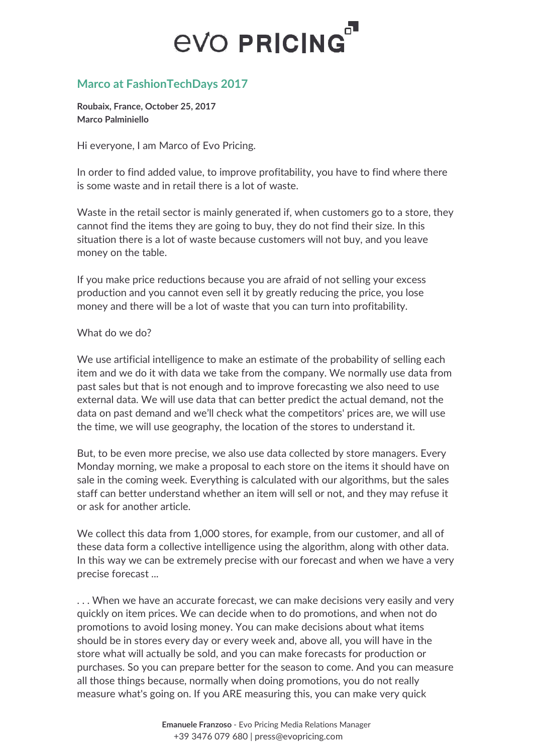## **EVO PRICING**

## **Marco at FashionTechDays 2017**

**Roubaix, France, October 25, 2017 Marco Palminiello**

Hi everyone, I am Marco of Evo Pricing.

In order to find added value, to improve profitability, you have to find where there is some waste and in retail there is a lot of waste.

Waste in the retail sector is mainly generated if, when customers go to a store, they cannot find the items they are going to buy, they do not find their size. In this situation there is a lot of waste because customers will not buy, and you leave money on the table.

If you make price reductions because you are afraid of not selling your excess production and you cannot even sell it by greatly reducing the price, you lose money and there will be a lot of waste that you can turn into profitability.

## What do we do?

We use artificial intelligence to make an estimate of the probability of selling each item and we do it with data we take from the company. We normally use data from past sales but that is not enough and to improve forecasting we also need to use external data. We will use data that can better predict the actual demand, not the data on past demand and we'll check what the competitors' prices are, we will use the time, we will use geography, the location of the stores to understand it.

But, to be even more precise, we also use data collected by store managers. Every Monday morning, we make a proposal to each store on the items it should have on sale in the coming week. Everything is calculated with our algorithms, but the sales staff can better understand whether an item will sell or not, and they may refuse it or ask for another article.

We collect this data from 1,000 stores, for example, from our customer, and all of these data form a collective intelligence using the algorithm, along with other data. In this way we can be extremely precise with our forecast and when we have a very precise forecast ...

. . . When we have an accurate forecast, we can make decisions very easily and very quickly on item prices. We can decide when to do promotions, and when not do promotions to avoid losing money. You can make decisions about what items should be in stores every day or every week and, above all, you will have in the store what will actually be sold, and you can make forecasts for production or purchases. So you can prepare better for the season to come. And you can measure all those things because, normally when doing promotions, you do not really measure what's going on. If you ARE measuring this, you can make very quick